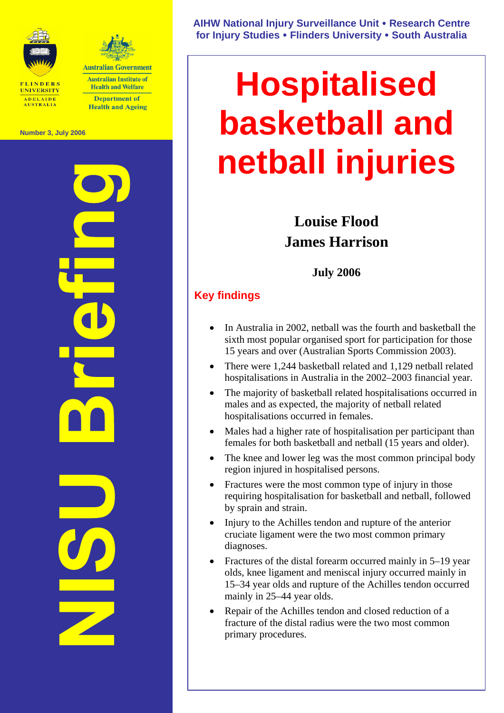



**Australian Institute of Health and Welfare Department of Health and Ageing** 

**Number 3, July 2006** 

**NISU Briefing** 

**AIHW National Injury Surveillance Unit** y **Research Centre for Injury Studies** y **Flinders University** y **South Australia** 

# **Hospitalised basketball and netball injuries**

## **Louise Flood James Harrison**

## **July 2006**

## **Key findings**

- In Australia in 2002, netball was the fourth and basketball the sixth most popular organised sport for participation for those 15 years and over (Australian Sports Commission 2003).
- There were 1,244 basketball related and 1,129 netball related hospitalisations in Australia in the 2002–2003 financial year.
- The majority of basketball related hospitalisations occurred in males and as expected, the majority of netball related hospitalisations occurred in females.
- Males had a higher rate of hospitalisation per participant than females for both basketball and netball (15 years and older).
- The knee and lower leg was the most common principal body region injured in hospitalised persons.
- Fractures were the most common type of injury in those requiring hospitalisation for basketball and netball, followed by sprain and strain.
- Injury to the Achilles tendon and rupture of the anterior cruciate ligament were the two most common primary diagnoses.
- Fractures of the distal forearm occurred mainly in 5–19 year olds, knee ligament and meniscal injury occurred mainly in 15–34 year olds and rupture of the Achilles tendon occurred mainly in 25–44 year olds.
- Repair of the Achilles tendon and closed reduction of a fracture of the distal radius were the two most common primary procedures.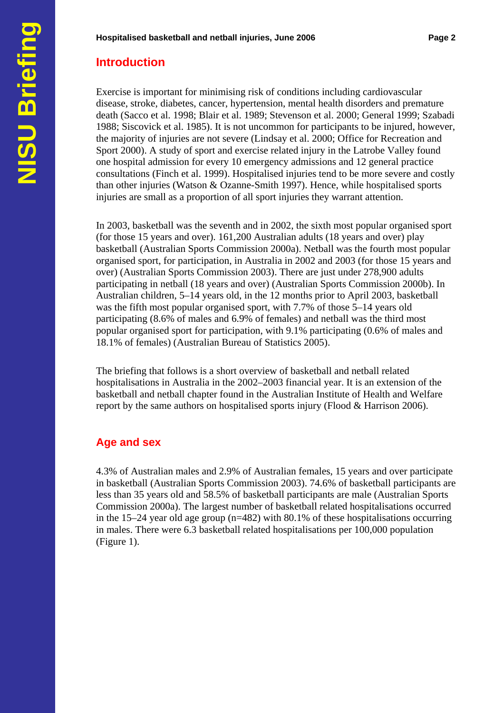## **Introduction**

Exercise is important for minimising risk of conditions including cardiovascular disease, stroke, diabetes, cancer, hypertension, mental health disorders and premature death (Sacco et al. 1998; Blair et al. 1989; Stevenson et al. 2000; General 1999; Szabadi 1988; Siscovick et al. 1985). It is not uncommon for participants to be injured, however, the majority of injuries are not severe (Lindsay et al. 2000; Office for Recreation and Sport 2000). A study of sport and exercise related injury in the Latrobe Valley found one hospital admission for every 10 emergency admissions and 12 general practice consultations (Finch et al. 1999). Hospitalised injuries tend to be more severe and costly than other injuries (Watson & Ozanne-Smith 1997). Hence, while hospitalised sports injuries are small as a proportion of all sport injuries they warrant attention.

In 2003, basketball was the seventh and in 2002, the sixth most popular organised sport (for those 15 years and over). 161,200 Australian adults (18 years and over) play basketball (Australian Sports Commission 2000a). Netball was the fourth most popular organised sport, for participation, in Australia in 2002 and 2003 (for those 15 years and over) (Australian Sports Commission 2003). There are just under 278,900 adults participating in netball (18 years and over) (Australian Sports Commission 2000b). In Australian children, 5–14 years old, in the 12 months prior to April 2003, basketball was the fifth most popular organised sport, with 7.7% of those 5–14 years old participating (8.6% of males and 6.9% of females) and netball was the third most popular organised sport for participation, with 9.1% participating (0.6% of males and 18.1% of females) (Australian Bureau of Statistics 2005).

The briefing that follows is a short overview of basketball and netball related hospitalisations in Australia in the 2002–2003 financial year. It is an extension of the basketball and netball chapter found in the Australian Institute of Health and Welfare report by the same authors on hospitalised sports injury (Flood & Harrison 2006).

## **Age and sex**

4.3% of Australian males and 2.9% of Australian females, 15 years and over participate in basketball (Australian Sports Commission 2003). 74.6% of basketball participants are less than 35 years old and 58.5% of basketball participants are male (Australian Sports Commission 2000a). The largest number of basketball related hospitalisations occurred in the 15–24 year old age group (n=482) with 80.1% of these hospitalisations occurring in males. There were 6.3 basketball related hospitalisations per 100,000 population (Figure 1).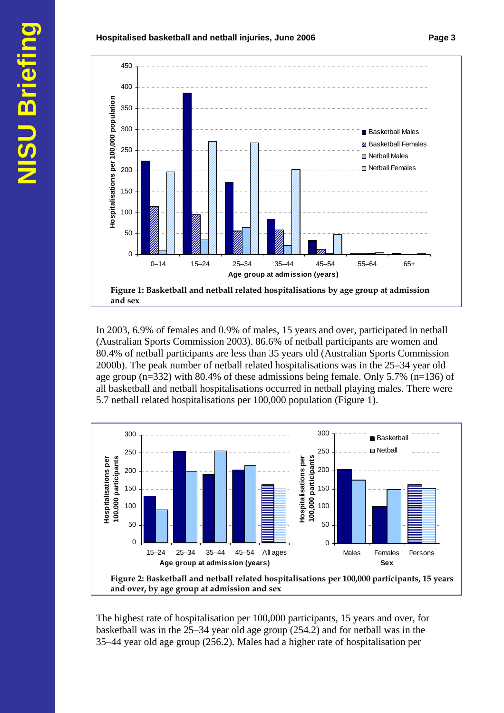



In 2003, 6.9% of females and 0.9% of males, 15 years and over, participated in netball (Australian Sports Commission 2003). 86.6% of netball participants are women and 80.4% of netball participants are less than 35 years old (Australian Sports Commission 2000b). The peak number of netball related hospitalisations was in the 25–34 year old age group (n=332) with 80.4% of these admissions being female. Only 5.7% (n=136) of all basketball and netball hospitalisations occurred in netball playing males. There were 5.7 netball related hospitalisations per 100,000 population (Figure 1).



The highest rate of hospitalisation per 100,000 participants, 15 years and over, for basketball was in the 25–34 year old age group (254.2) and for netball was in the 35–44 year old age group (256.2). Males had a higher rate of hospitalisation per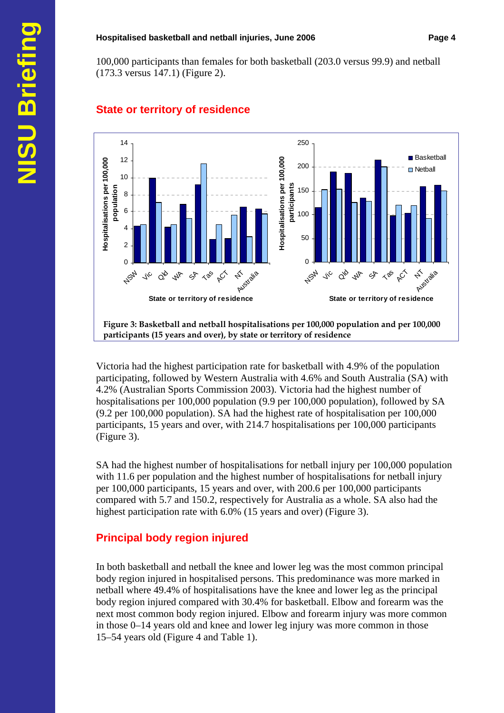100,000 participants than females for both basketball (203.0 versus 99.9) and netball (173.3 versus 147.1) (Figure 2).



## **State or territory of residence**

Victoria had the highest participation rate for basketball with 4.9% of the population participating, followed by Western Australia with 4.6% and South Australia (SA) with 4.2% (Australian Sports Commission 2003). Victoria had the highest number of hospitalisations per 100,000 population (9.9 per 100,000 population), followed by SA (9.2 per 100,000 population). SA had the highest rate of hospitalisation per 100,000 participants, 15 years and over, with 214.7 hospitalisations per 100,000 participants (Figure 3).

SA had the highest number of hospitalisations for netball injury per 100,000 population with 11.6 per population and the highest number of hospitalisations for netball injury per 100,000 participants, 15 years and over, with 200.6 per 100,000 participants compared with 5.7 and 150.2, respectively for Australia as a whole. SA also had the highest participation rate with 6.0% (15 years and over) (Figure 3).

## **Principal body region injured**

In both basketball and netball the knee and lower leg was the most common principal body region injured in hospitalised persons. This predominance was more marked in netball where 49.4% of hospitalisations have the knee and lower leg as the principal body region injured compared with 30.4% for basketball. Elbow and forearm was the next most common body region injured. Elbow and forearm injury was more common in those 0–14 years old and knee and lower leg injury was more common in those 15–54 years old (Figure 4 and Table 1).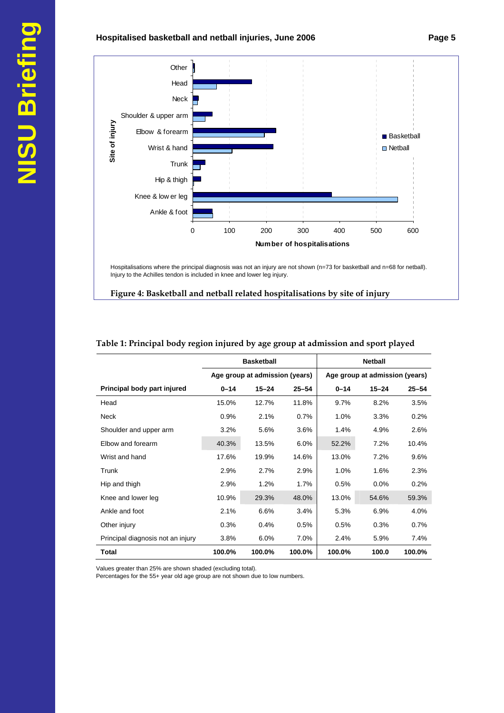#### **Hospitalised basketball and netball injuries, June 2006** Page 5



Hospitalisations where the principal diagnosis was not an injury are not shown (n=73 for basketball and n=68 for netball). Injury to the Achilles tendon is included in knee and lower leg injury.

 **Figure 4: Basketball and netball related hospitalisations by site of injury** 

|                                   | <b>Basketball</b>              |           |           | <b>Netball</b> |                                |           |
|-----------------------------------|--------------------------------|-----------|-----------|----------------|--------------------------------|-----------|
|                                   | Age group at admission (years) |           |           |                | Age group at admission (years) |           |
| Principal body part injured       | $0 - 14$                       | $15 - 24$ | $25 - 54$ | $0 - 14$       | $15 - 24$                      | $25 - 54$ |
| Head                              | 15.0%                          | 12.7%     | 11.8%     | 9.7%           | 8.2%                           | 3.5%      |
| Neck                              | 0.9%                           | 2.1%      | 0.7%      | 1.0%           | 3.3%                           | 0.2%      |
| Shoulder and upper arm            | 3.2%                           | 5.6%      | 3.6%      | 1.4%           | 4.9%                           | 2.6%      |
| Flbow and forearm                 | 40.3%                          | 13.5%     | 6.0%      | 52.2%          | 7.2%                           | 10.4%     |
| Wrist and hand                    | 17.6%                          | 19.9%     | 14.6%     | 13.0%          | 7.2%                           | 9.6%      |
| Trunk                             | 2.9%                           | 2.7%      | 2.9%      | 1.0%           | 1.6%                           | 2.3%      |
| Hip and thigh                     | 2.9%                           | 1.2%      | 1.7%      | 0.5%           | $0.0\%$                        | 0.2%      |
| Knee and lower leg                | 10.9%                          | 29.3%     | 48.0%     | 13.0%          | 54.6%                          | 59.3%     |
| Ankle and foot                    | 2.1%                           | 6.6%      | 3.4%      | 5.3%           | 6.9%                           | 4.0%      |
| Other injury                      | 0.3%                           | 0.4%      | 0.5%      | 0.5%           | 0.3%                           | 0.7%      |
| Principal diagnosis not an injury | 3.8%                           | $6.0\%$   | 7.0%      | 2.4%           | 5.9%                           | 7.4%      |
| Total                             | 100.0%                         | 100.0%    | 100.0%    | 100.0%         | 100.0                          | 100.0%    |

#### **Table 1: Principal body region injured by age group at admission and sport played**

Values greater than 25% are shown shaded (excluding total).

Percentages for the 55+ year old age group are not shown due to low numbers.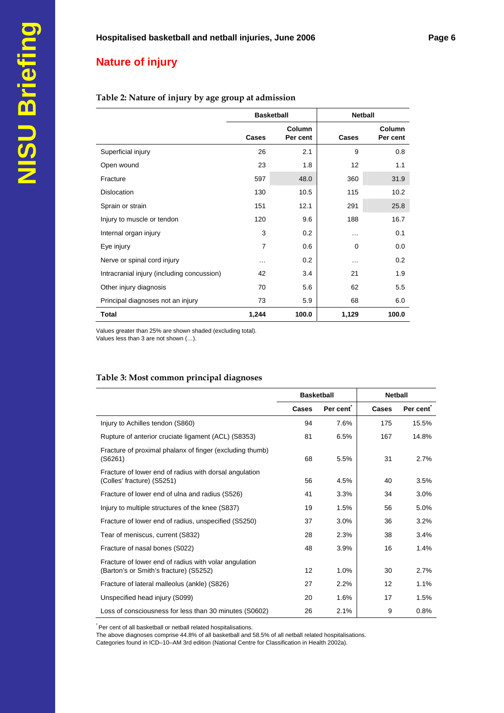## **Nature of injury**

#### **Table 2: Nature of injury by age group at admission**

|                                            | <b>Basketball</b> |                    | <b>Netball</b> |                    |
|--------------------------------------------|-------------------|--------------------|----------------|--------------------|
|                                            | Cases             | Column<br>Per cent | Cases          | Column<br>Per cent |
| Superficial injury                         | 26                | 2.1                | 9              | 0.8                |
| Open wound                                 | 23                | 1.8                | 12             | 1.1                |
| Fracture                                   | 597               | 48.0               | 360            | 31.9               |
| Dislocation                                | 130               | 10.5               | 115            | 10.2               |
| Sprain or strain                           | 151               | 12.1               | 291            | 25.8               |
| Injury to muscle or tendon                 | 120               | 9.6                | 188            | 16.7               |
| Internal organ injury                      | 3                 | 0.2                | .              | 0.1                |
| Eye injury                                 | $\overline{7}$    | 0.6                | $\mathbf 0$    | 0.0                |
| Nerve or spinal cord injury                | $\cdots$          | 0.2                | $\cdots$       | 0.2                |
| Intracranial injury (including concussion) | 42                | 3.4                | 21             | 1.9                |
| Other injury diagnosis                     | 70                | 5.6                | 62             | 5.5                |
| Principal diagnoses not an injury          | 73                | 5.9                | 68             | 6.0                |
| Total                                      | 1,244             | 100.0              | 1,129          | 100.0              |

Values greater than 25% are shown shaded (excluding total).

Values less than 3 are not shown (…).

#### **Table 3: Most common principal diagnoses**

|                                                                                                 | <b>Basketball</b> |          | <b>Netball</b> |          |  |
|-------------------------------------------------------------------------------------------------|-------------------|----------|----------------|----------|--|
|                                                                                                 | Cases             | Per cent | Cases          | Per cent |  |
| Injury to Achilles tendon (S860)                                                                | 94                | 7.6%     | 175            | 15.5%    |  |
| Rupture of anterior cruciate ligament (ACL) (S8353)                                             | 81                | 6.5%     | 167            | 14.8%    |  |
| Fracture of proximal phalanx of finger (excluding thumb)<br>(S6261)                             | 68                | 5.5%     | 31             | 2.7%     |  |
| Fracture of lower end of radius with dorsal angulation<br>(Colles' fracture) (S5251)            | 56                | 4.5%     | 40             | 3.5%     |  |
| Fracture of lower end of ulna and radius (S526)                                                 | 41                | 3.3%     | 34             | 3.0%     |  |
| Injury to multiple structures of the knee (S837)                                                | 19                | 1.5%     | 56             | 5.0%     |  |
| Fracture of lower end of radius, unspecified (S5250)                                            | 37                | 3.0%     | 36             | 3.2%     |  |
| Tear of meniscus, current (S832)                                                                | 28                | 2.3%     | 38             | 3.4%     |  |
| Fracture of nasal bones (S022)                                                                  | 48                | 3.9%     | 16             | 1.4%     |  |
| Fracture of lower end of radius with volar angulation<br>(Barton's or Smith's fracture) (S5252) | 12                | 1.0%     | 30             | 2.7%     |  |
| Fracture of lateral malleolus (ankle) (S826)                                                    | 27                | 2.2%     | 12             | 1.1%     |  |
| Unspecified head injury (S099)                                                                  | 20                | 1.6%     | 17             | 1.5%     |  |
| Loss of consciousness for less than 30 minutes (S0602)                                          | 26                | 2.1%     | 9              | 0.8%     |  |

\* Per cent of all basketball or netball related hospitalisations.

The above diagnoses comprise 44.8% of all basketball and 58.5% of all netball related hospitalisations.

Categories found in ICD–10–AM 3rd edition (National Centre for Classification in Health 2002a).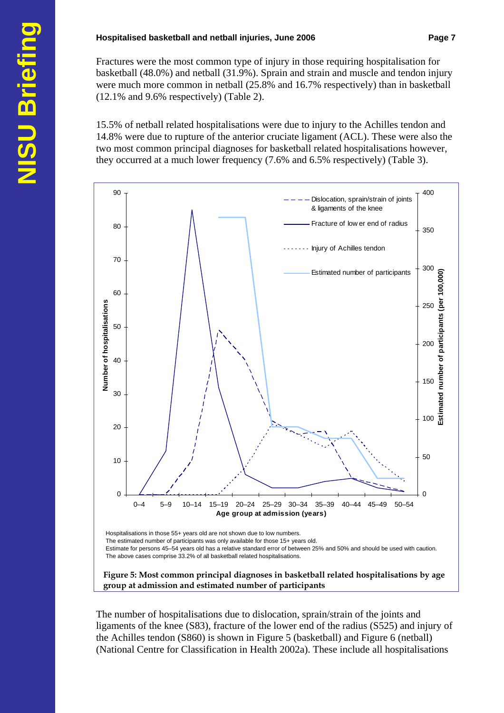#### **Hospitalised basketball and netball injuries, June 2006 Communist Construct Page 7 Apple 7 Apple 7 Apple 7 Apple 7 Apple 7 Apple 7 Apple 7 Apple 7 Apple 7 Apple 7 Apple 7 Apple 7 Apple 7 Apple 7 Apple 7 Apple 7 Apple 7 Ap**

Fractures were the most common type of injury in those requiring hospitalisation for basketball (48.0%) and netball (31.9%). Sprain and strain and muscle and tendon injury were much more common in netball (25.8% and 16.7% respectively) than in basketball (12.1% and 9.6% respectively) (Table 2).

15.5% of netball related hospitalisations were due to injury to the Achilles tendon and 14.8% were due to rupture of the anterior cruciate ligament (ACL). These were also the two most common principal diagnoses for basketball related hospitalisations however, they occurred at a much lower frequency (7.6% and 6.5% respectively) (Table 3).



The number of hospitalisations due to dislocation, sprain/strain of the joints and ligaments of the knee (S83), fracture of the lower end of the radius (S525) and injury of the Achilles tendon (S860) is shown in Figure 5 (basketball) and Figure 6 (netball) (National Centre for Classification in Health 2002a). These include all hospitalisations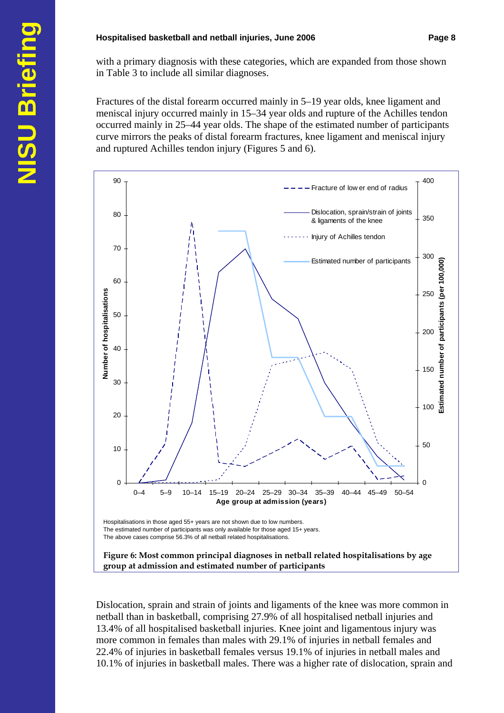#### **Hospitalised basketball and netball injuries, June 2006 Communist Constructs Page 8 and Page 8**

with a primary diagnosis with these categories, which are expanded from those shown in Table 3 to include all similar diagnoses.

Fractures of the distal forearm occurred mainly in 5–19 year olds, knee ligament and meniscal injury occurred mainly in 15–34 year olds and rupture of the Achilles tendon occurred mainly in 25–44 year olds. The shape of the estimated number of participants curve mirrors the peaks of distal forearm fractures, knee ligament and meniscal injury and ruptured Achilles tendon injury (Figures 5 and 6).



Dislocation, sprain and strain of joints and ligaments of the knee was more common in netball than in basketball, comprising 27.9% of all hospitalised netball injuries and 13.4% of all hospitalised basketball injuries. Knee joint and ligamentous injury was more common in females than males with 29.1% of injuries in netball females and 22.4% of injuries in basketball females versus 19.1% of injuries in netball males and 10.1% of injuries in basketball males. There was a higher rate of dislocation, sprain and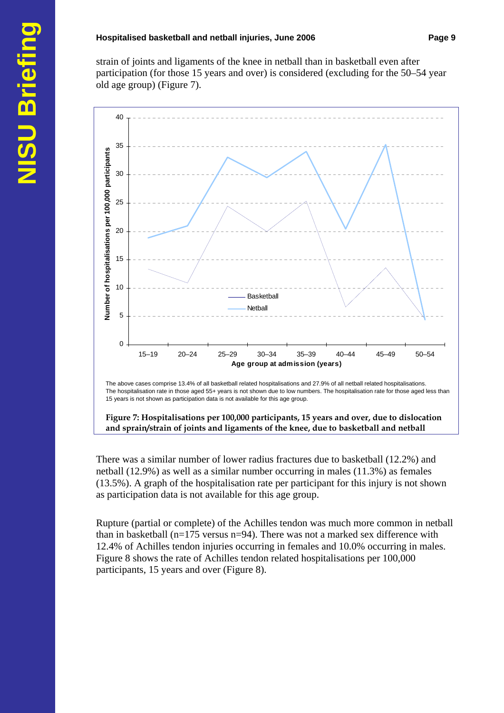#### **Hospitalised basketball and netball injuries, June 2006 Communist Construction Page 9 Page 9**

strain of joints and ligaments of the knee in netball than in basketball even after participation (for those 15 years and over) is considered (excluding for the 50–54 year old age group) (Figure 7).



 **Figure 7: Hospitalisations per 100,000 participants, 15 years and over, due to dislocation and sprain/strain of joints and ligaments of the knee, due to basketball and netball** 

There was a similar number of lower radius fractures due to basketball (12.2%) and netball (12.9%) as well as a similar number occurring in males (11.3%) as females (13.5%). A graph of the hospitalisation rate per participant for this injury is not shown as participation data is not available for this age group.

Rupture (partial or complete) of the Achilles tendon was much more common in netball than in basketball ( $n=175$  versus  $n=94$ ). There was not a marked sex difference with 12.4% of Achilles tendon injuries occurring in females and 10.0% occurring in males. Figure 8 shows the rate of Achilles tendon related hospitalisations per 100,000 participants, 15 years and over (Figure 8).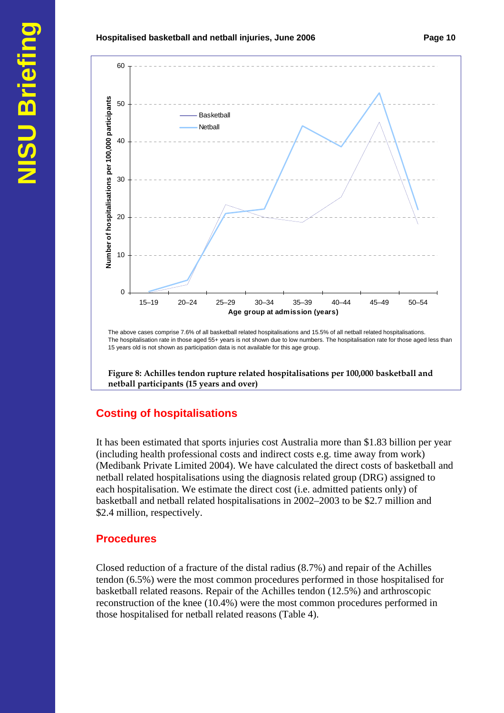



 **Figure 8: Achilles tendon rupture related hospitalisations per 100,000 basketball and netball participants (15 years and over)** 

## **Costing of hospitalisations**

It has been estimated that sports injuries cost Australia more than \$1.83 billion per year (including health professional costs and indirect costs e.g. time away from work) (Medibank Private Limited 2004). We have calculated the direct costs of basketball and netball related hospitalisations using the diagnosis related group (DRG) assigned to each hospitalisation. We estimate the direct cost (i.e. admitted patients only) of basketball and netball related hospitalisations in 2002–2003 to be \$2.7 million and \$2.4 million, respectively.

## **Procedures**

Closed reduction of a fracture of the distal radius (8.7%) and repair of the Achilles tendon (6.5%) were the most common procedures performed in those hospitalised for basketball related reasons. Repair of the Achilles tendon (12.5%) and arthroscopic reconstruction of the knee (10.4%) were the most common procedures performed in those hospitalised for netball related reasons (Table 4).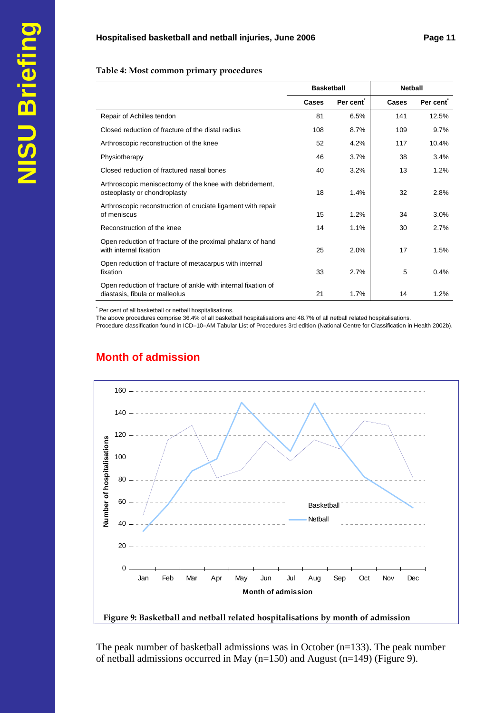#### **Table 4: Most common primary procedures**

|                                                                                                 | <b>Basketball</b> |          | <b>Netball</b> |          |
|-------------------------------------------------------------------------------------------------|-------------------|----------|----------------|----------|
|                                                                                                 | Cases             | Per cent | Cases          | Per cent |
| Repair of Achilles tendon                                                                       | 81                | 6.5%     | 141            | 12.5%    |
| Closed reduction of fracture of the distal radius                                               | 108               | 8.7%     | 109            | 9.7%     |
| Arthroscopic reconstruction of the knee                                                         | 52                | 4.2%     | 117            | 10.4%    |
| Physiotherapy                                                                                   | 46                | 3.7%     | 38             | 3.4%     |
| Closed reduction of fractured nasal bones                                                       | 40                | 3.2%     | 13             | 1.2%     |
| Arthroscopic meniscectomy of the knee with debridement,<br>osteoplasty or chondroplasty         | 18                | 1.4%     | 32             | 2.8%     |
| Arthroscopic reconstruction of cruciate ligament with repair<br>of meniscus                     | 15                | 1.2%     | 34             | 3.0%     |
| Reconstruction of the knee                                                                      | 14                | 1.1%     | 30             | 2.7%     |
| Open reduction of fracture of the proximal phalanx of hand<br>with internal fixation            | 25                | 2.0%     | 17             | 1.5%     |
| Open reduction of fracture of metacarpus with internal<br>fixation                              | 33                | 2.7%     | 5              | 0.4%     |
| Open reduction of fracture of ankle with internal fixation of<br>diastasis, fibula or malleolus | 21                | 1.7%     | 14             | 1.2%     |

\* Per cent of all basketball or netball hospitalisations.

The above procedures comprise 36.4% of all basketball hospitalisations and 48.7% of all netball related hospitalisations.

Procedure classification found in ICD–10–AM Tabular List of Procedures 3rd edition (National Centre for Classification in Health 2002b).



#### **Month of admission**

 **Figure 9: Basketball and netball related hospitalisations by month of admission** 

The peak number of basketball admissions was in October (n=133). The peak number of netball admissions occurred in May (n=150) and August (n=149) (Figure 9).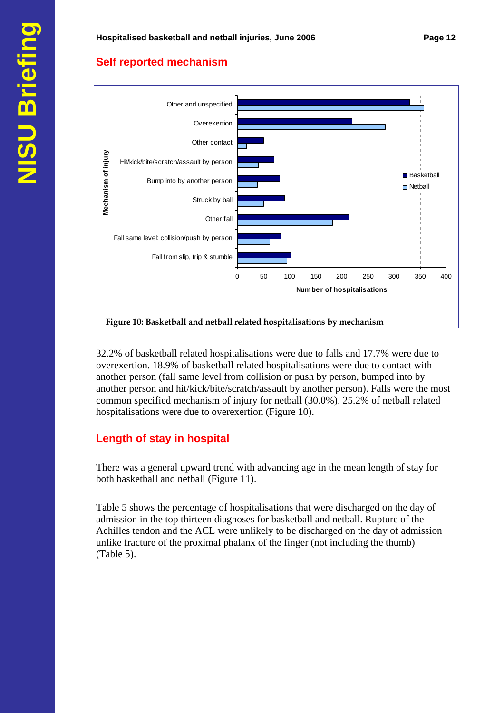## **Self reported mechanism**



32.2% of basketball related hospitalisations were due to falls and 17.7% were due to overexertion. 18.9% of basketball related hospitalisations were due to contact with another person (fall same level from collision or push by person, bumped into by another person and hit/kick/bite/scratch/assault by another person). Falls were the most common specified mechanism of injury for netball (30.0%). 25.2% of netball related hospitalisations were due to overexertion (Figure 10).

## **Length of stay in hospital**

There was a general upward trend with advancing age in the mean length of stay for both basketball and netball (Figure 11).

Table 5 shows the percentage of hospitalisations that were discharged on the day of admission in the top thirteen diagnoses for basketball and netball. Rupture of the Achilles tendon and the ACL were unlikely to be discharged on the day of admission unlike fracture of the proximal phalanx of the finger (not including the thumb) (Table 5).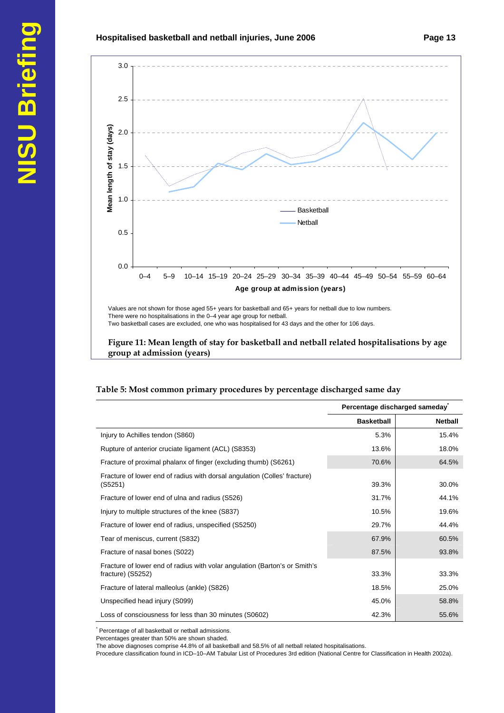



 **Figure 11: Mean length of stay for basketball and netball related hospitalisations by age group at admission (years)** 

#### **Table 5: Most common primary procedures by percentage discharged same day**

|                                                                                                 | Percentage discharged sameday |                |  |
|-------------------------------------------------------------------------------------------------|-------------------------------|----------------|--|
|                                                                                                 | <b>Basketball</b>             | <b>Netball</b> |  |
| Injury to Achilles tendon (S860)                                                                | 5.3%                          | 15.4%          |  |
| Rupture of anterior cruciate ligament (ACL) (S8353)                                             | 13.6%                         | 18.0%          |  |
| Fracture of proximal phalanx of finger (excluding thumb) (S6261)                                | 70.6%                         | 64.5%          |  |
| Fracture of lower end of radius with dorsal angulation (Colles' fracture)<br>(S5251)            | 39.3%                         | 30.0%          |  |
| Fracture of lower end of ulna and radius (S526)                                                 | 31.7%                         | 44.1%          |  |
| Injury to multiple structures of the knee (S837)                                                | 10.5%                         | 19.6%          |  |
| Fracture of lower end of radius, unspecified (S5250)                                            | 29.7%                         | 44.4%          |  |
| Tear of meniscus, current (S832)                                                                | 67.9%                         | 60.5%          |  |
| Fracture of nasal bones (S022)                                                                  | 87.5%                         | 93.8%          |  |
| Fracture of lower end of radius with volar angulation (Barton's or Smith's<br>fracture) (S5252) | 33.3%                         | 33.3%          |  |
| Fracture of lateral malleolus (ankle) (S826)                                                    | 18.5%                         | 25.0%          |  |
| Unspecified head injury (S099)                                                                  | 45.0%                         | 58.8%          |  |
| Loss of consciousness for less than 30 minutes (S0602)                                          | 42.3%                         | 55.6%          |  |

\* Percentage of all basketball or netball admissions.

Percentages greater than 50% are shown shaded.

The above diagnoses comprise 44.8% of all basketball and 58.5% of all netball related hospitalisations.

Procedure classification found in ICD–10–AM Tabular List of Procedures 3rd edition (National Centre for Classification in Health 2002a).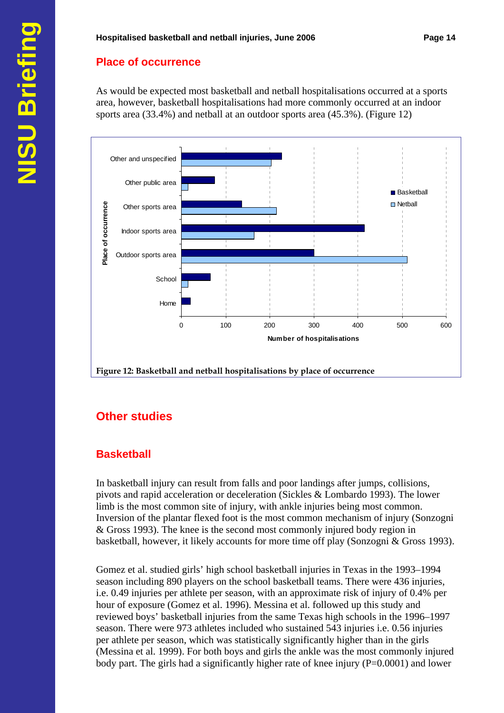#### **Place of occurrence**

As would be expected most basketball and netball hospitalisations occurred at a sports area, however, basketball hospitalisations had more commonly occurred at an indoor sports area (33.4%) and netball at an outdoor sports area (45.3%). (Figure 12)



## **Other studies**

### **Basketball**

In basketball injury can result from falls and poor landings after jumps, collisions, pivots and rapid acceleration or deceleration (Sickles & Lombardo 1993). The lower limb is the most common site of injury, with ankle injuries being most common. Inversion of the plantar flexed foot is the most common mechanism of injury (Sonzogni & Gross 1993). The knee is the second most commonly injured body region in basketball, however, it likely accounts for more time off play (Sonzogni & Gross 1993).

Gomez et al. studied girls' high school basketball injuries in Texas in the 1993–1994 season including 890 players on the school basketball teams. There were 436 injuries, i.e. 0.49 injuries per athlete per season, with an approximate risk of injury of 0.4% per hour of exposure (Gomez et al. 1996). Messina et al. followed up this study and reviewed boys' basketball injuries from the same Texas high schools in the 1996–1997 season. There were 973 athletes included who sustained 543 injuries i.e. 0.56 injuries per athlete per season, which was statistically significantly higher than in the girls (Messina et al. 1999). For both boys and girls the ankle was the most commonly injured body part. The girls had a significantly higher rate of knee injury (P=0.0001) and lower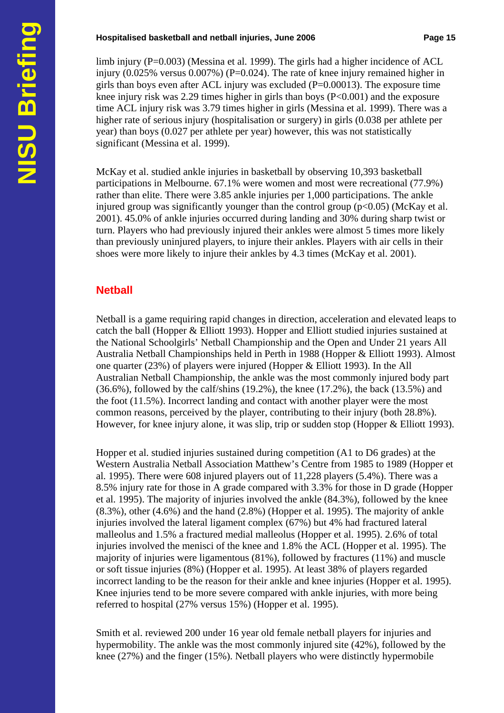#### **Hospitalised basketball and netball injuries, June 2006 Transference and Page 15 Page 15**

limb injury (P=0.003) (Messina et al. 1999). The girls had a higher incidence of ACL injury (0.025% versus 0.007%) (P=0.024). The rate of knee injury remained higher in girls than boys even after ACL injury was excluded  $(P=0.00013)$ . The exposure time knee injury risk was 2.29 times higher in girls than boys (P<0.001) and the exposure time ACL injury risk was 3.79 times higher in girls (Messina et al. 1999). There was a higher rate of serious injury (hospitalisation or surgery) in girls (0.038 per athlete per year) than boys (0.027 per athlete per year) however, this was not statistically significant (Messina et al. 1999).

McKay et al. studied ankle injuries in basketball by observing 10,393 basketball participations in Melbourne. 67.1% were women and most were recreational (77.9%) rather than elite. There were 3.85 ankle injuries per 1,000 participations. The ankle injured group was significantly younger than the control group  $(p<0.05)$  (McKay et al. 2001). 45.0% of ankle injuries occurred during landing and 30% during sharp twist or turn. Players who had previously injured their ankles were almost 5 times more likely than previously uninjured players, to injure their ankles. Players with air cells in their shoes were more likely to injure their ankles by 4.3 times (McKay et al. 2001).

#### **Netball**

Netball is a game requiring rapid changes in direction, acceleration and elevated leaps to catch the ball (Hopper & Elliott 1993). Hopper and Elliott studied injuries sustained at the National Schoolgirls' Netball Championship and the Open and Under 21 years All Australia Netball Championships held in Perth in 1988 (Hopper & Elliott 1993). Almost one quarter (23%) of players were injured (Hopper & Elliott 1993). In the All Australian Netball Championship, the ankle was the most commonly injured body part  $(36.6\%)$ , followed by the calf/shins  $(19.2\%)$ , the knee  $(17.2\%)$ , the back  $(13.5\%)$  and the foot (11.5%). Incorrect landing and contact with another player were the most common reasons, perceived by the player, contributing to their injury (both 28.8%). However, for knee injury alone, it was slip, trip or sudden stop (Hopper & Elliott 1993).

Hopper et al. studied injuries sustained during competition (A1 to D6 grades) at the Western Australia Netball Association Matthew's Centre from 1985 to 1989 (Hopper et al. 1995). There were 608 injured players out of 11,228 players (5.4%). There was a 8.5% injury rate for those in A grade compared with 3.3% for those in D grade (Hopper et al. 1995). The majority of injuries involved the ankle (84.3%), followed by the knee (8.3%), other (4.6%) and the hand (2.8%) (Hopper et al. 1995). The majority of ankle injuries involved the lateral ligament complex (67%) but 4% had fractured lateral malleolus and 1.5% a fractured medial malleolus (Hopper et al. 1995). 2.6% of total injuries involved the menisci of the knee and 1.8% the ACL (Hopper et al. 1995). The majority of injuries were ligamentous (81%), followed by fractures (11%) and muscle or soft tissue injuries (8%) (Hopper et al. 1995). At least 38% of players regarded incorrect landing to be the reason for their ankle and knee injuries (Hopper et al. 1995). Knee injuries tend to be more severe compared with ankle injuries, with more being referred to hospital (27% versus 15%) (Hopper et al. 1995).

Smith et al. reviewed 200 under 16 year old female netball players for injuries and hypermobility. The ankle was the most commonly injured site (42%), followed by the knee (27%) and the finger (15%). Netball players who were distinctly hypermobile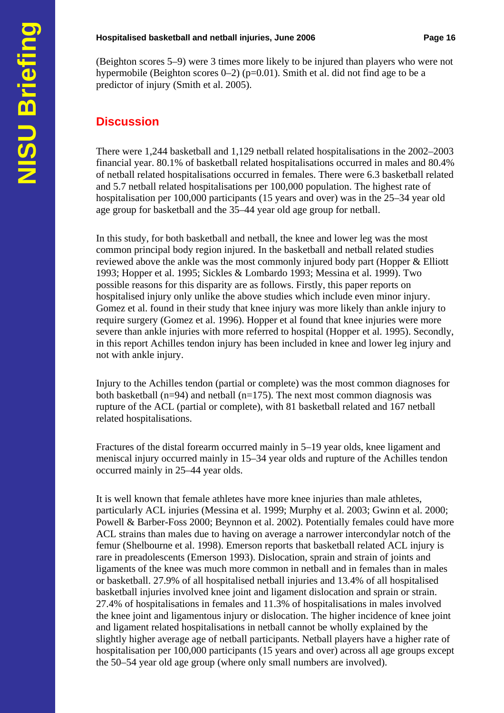(Beighton scores 5–9) were 3 times more likely to be injured than players who were not hypermobile (Beighton scores  $0-2$ ) (p=0.01). Smith et al. did not find age to be a predictor of injury (Smith et al. 2005).

## **Discussion**

There were 1,244 basketball and 1,129 netball related hospitalisations in the 2002–2003 financial year. 80.1% of basketball related hospitalisations occurred in males and 80.4% of netball related hospitalisations occurred in females. There were 6.3 basketball related and 5.7 netball related hospitalisations per 100,000 population. The highest rate of hospitalisation per 100,000 participants (15 years and over) was in the 25–34 year old age group for basketball and the 35–44 year old age group for netball.

In this study, for both basketball and netball, the knee and lower leg was the most common principal body region injured. In the basketball and netball related studies reviewed above the ankle was the most commonly injured body part (Hopper & Elliott 1993; Hopper et al. 1995; Sickles & Lombardo 1993; Messina et al. 1999). Two possible reasons for this disparity are as follows. Firstly, this paper reports on hospitalised injury only unlike the above studies which include even minor injury. Gomez et al. found in their study that knee injury was more likely than ankle injury to require surgery (Gomez et al. 1996). Hopper et al found that knee injuries were more severe than ankle injuries with more referred to hospital (Hopper et al. 1995). Secondly, in this report Achilles tendon injury has been included in knee and lower leg injury and not with ankle injury.

Injury to the Achilles tendon (partial or complete) was the most common diagnoses for both basketball ( $n=94$ ) and netball ( $n=175$ ). The next most common diagnosis was rupture of the ACL (partial or complete), with 81 basketball related and 167 netball related hospitalisations.

Fractures of the distal forearm occurred mainly in 5–19 year olds, knee ligament and meniscal injury occurred mainly in 15–34 year olds and rupture of the Achilles tendon occurred mainly in 25–44 year olds.

It is well known that female athletes have more knee injuries than male athletes, particularly ACL injuries (Messina et al. 1999; Murphy et al. 2003; Gwinn et al. 2000; Powell & Barber-Foss 2000; Beynnon et al. 2002). Potentially females could have more ACL strains than males due to having on average a narrower intercondylar notch of the femur (Shelbourne et al. 1998). Emerson reports that basketball related ACL injury is rare in preadolescents (Emerson 1993). Dislocation, sprain and strain of joints and ligaments of the knee was much more common in netball and in females than in males or basketball. 27.9% of all hospitalised netball injuries and 13.4% of all hospitalised basketball injuries involved knee joint and ligament dislocation and sprain or strain. 27.4% of hospitalisations in females and 11.3% of hospitalisations in males involved the knee joint and ligamentous injury or dislocation. The higher incidence of knee joint and ligament related hospitalisations in netball cannot be wholly explained by the slightly higher average age of netball participants. Netball players have a higher rate of hospitalisation per 100,000 participants (15 years and over) across all age groups except the 50–54 year old age group (where only small numbers are involved).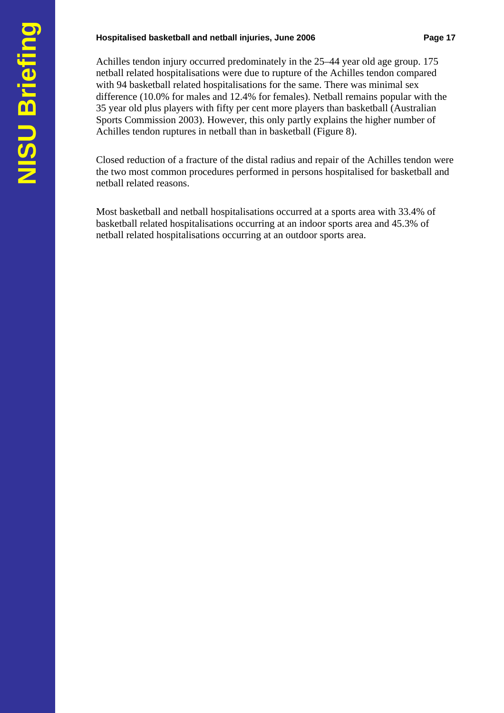#### Hospitalised basketball and netball injuries, June 2006 **Page 17** Page 17

Achilles tendon injury occurred predominately in the 25–44 year old age group. 175 netball related hospitalisations were due to rupture of the Achilles tendon compared with 94 basketball related hospitalisations for the same. There was minimal sex difference (10.0% for males and 12.4% for females). Netball remains popular with the 35 year old plus players with fifty per cent more players than basketball (Australian Sports Commission 2003). However, this only partly explains the higher number of Achilles tendon ruptures in netball than in basketball (Figure 8).

Closed reduction of a fracture of the distal radius and repair of the Achilles tendon were the two most common procedures performed in persons hospitalised for basketball and netball related reasons.

Most basketball and netball hospitalisations occurred at a sports area with 33.4% of basketball related hospitalisations occurring at an indoor sports area and 45.3% of netball related hospitalisations occurring at an outdoor sports area.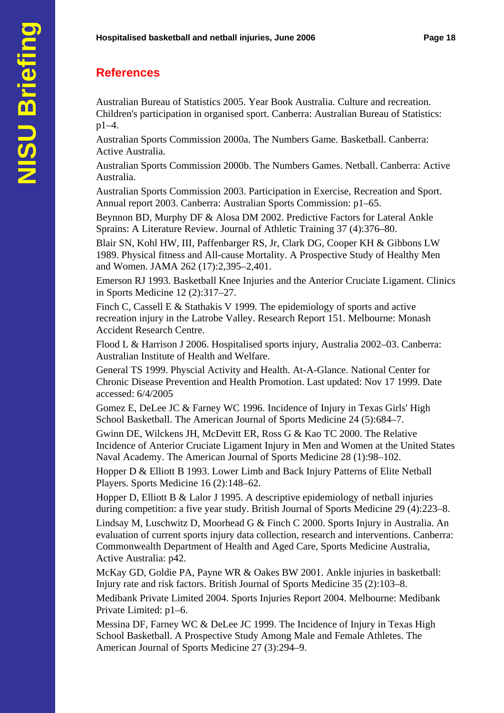## **References**

Australian Bureau of Statistics 2005. Year Book Australia. Culture and recreation. Children's participation in organised sport. Canberra: Australian Bureau of Statistics: p1–4.

Australian Sports Commission 2000a. The Numbers Game. Basketball. Canberra: Active Australia.

Australian Sports Commission 2000b. The Numbers Games. Netball. Canberra: Active Australia.

Australian Sports Commission 2003. Participation in Exercise, Recreation and Sport. Annual report 2003. Canberra: Australian Sports Commission: p1–65.

Beynnon BD, Murphy DF & Alosa DM 2002. Predictive Factors for Lateral Ankle Sprains: A Literature Review. Journal of Athletic Training 37 (4):376–80.

Blair SN, Kohl HW, III, Paffenbarger RS, Jr, Clark DG, Cooper KH & Gibbons LW 1989. Physical fitness and All-cause Mortality. A Prospective Study of Healthy Men and Women. JAMA 262 (17):2,395–2,401.

Emerson RJ 1993. Basketball Knee Injuries and the Anterior Cruciate Ligament. Clinics in Sports Medicine 12 (2):317–27.

Finch C, Cassell E & Stathakis V 1999. The epidemiology of sports and active recreation injury in the Latrobe Valley. Research Report 151. Melbourne: Monash Accident Research Centre.

Flood L & Harrison J 2006. Hospitalised sports injury, Australia 2002–03. Canberra: Australian Institute of Health and Welfare.

General TS 1999. Physcial Activity and Health. At-A-Glance. National Center for Chronic Disease Prevention and Health Promotion. Last updated: Nov 17 1999. Date accessed: 6/4/2005

Gomez E, DeLee JC & Farney WC 1996. Incidence of Injury in Texas Girls' High School Basketball. The American Journal of Sports Medicine 24 (5):684–7.

Gwinn DE, Wilckens JH, McDevitt ER, Ross G & Kao TC 2000. The Relative Incidence of Anterior Cruciate Ligament Injury in Men and Women at the United States Naval Academy. The American Journal of Sports Medicine 28 (1):98–102.

Hopper D & Elliott B 1993. Lower Limb and Back Injury Patterns of Elite Netball Players. Sports Medicine 16 (2):148–62.

Hopper D, Elliott B & Lalor J 1995. A descriptive epidemiology of netball injuries during competition: a five year study. British Journal of Sports Medicine 29 (4):223–8.

Lindsay M, Luschwitz D, Moorhead G & Finch C 2000. Sports Injury in Australia. An evaluation of current sports injury data collection, research and interventions. Canberra: Commonwealth Department of Health and Aged Care, Sports Medicine Australia, Active Australia: p42.

McKay GD, Goldie PA, Payne WR & Oakes BW 2001. Ankle injuries in basketball: Injury rate and risk factors. British Journal of Sports Medicine 35 (2):103–8.

Medibank Private Limited 2004. Sports Injuries Report 2004. Melbourne: Medibank Private Limited: p1–6.

Messina DF, Farney WC & DeLee JC 1999. The Incidence of Injury in Texas High School Basketball. A Prospective Study Among Male and Female Athletes. The American Journal of Sports Medicine 27 (3):294–9.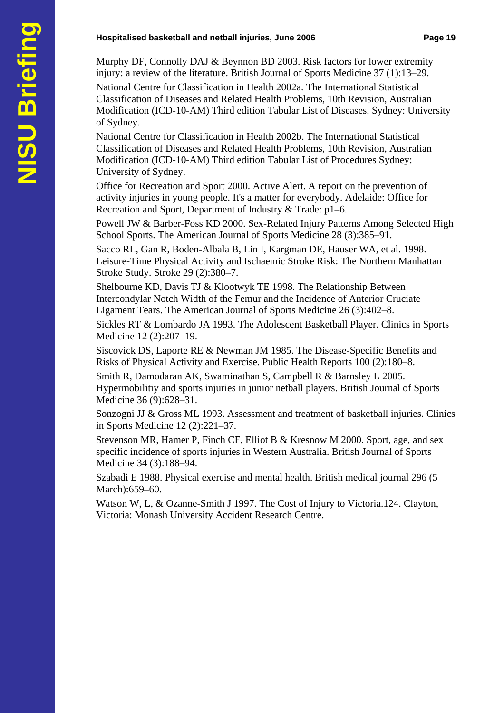#### **Hospitalised basketball and netball injuries, June 2006 Cassical Page 19 Page 19**

Murphy DF, Connolly DAJ & Beynnon BD 2003. Risk factors for lower extremity injury: a review of the literature. British Journal of Sports Medicine 37 (1):13–29.

National Centre for Classification in Health 2002a. The International Statistical Classification of Diseases and Related Health Problems, 10th Revision, Australian Modification (ICD-10-AM) Third edition Tabular List of Diseases. Sydney: University of Sydney.

National Centre for Classification in Health 2002b. The International Statistical Classification of Diseases and Related Health Problems, 10th Revision, Australian Modification (ICD-10-AM) Third edition Tabular List of Procedures Sydney: University of Sydney.

Office for Recreation and Sport 2000. Active Alert. A report on the prevention of activity injuries in young people. It's a matter for everybody. Adelaide: Office for Recreation and Sport, Department of Industry & Trade: p1–6.

Powell JW & Barber-Foss KD 2000. Sex-Related Injury Patterns Among Selected High School Sports. The American Journal of Sports Medicine 28 (3):385–91.

Sacco RL, Gan R, Boden-Albala B, Lin I, Kargman DE, Hauser WA, et al. 1998. Leisure-Time Physical Activity and Ischaemic Stroke Risk: The Northern Manhattan Stroke Study. Stroke 29 (2):380–7.

Shelbourne KD, Davis TJ & Klootwyk TE 1998. The Relationship Between Intercondylar Notch Width of the Femur and the Incidence of Anterior Cruciate Ligament Tears. The American Journal of Sports Medicine 26 (3):402–8.

Sickles RT & Lombardo JA 1993. The Adolescent Basketball Player. Clinics in Sports Medicine 12 (2):207–19.

Siscovick DS, Laporte RE & Newman JM 1985. The Disease-Specific Benefits and Risks of Physical Activity and Exercise. Public Health Reports 100 (2):180–8.

Smith R, Damodaran AK, Swaminathan S, Campbell R & Barnsley L 2005. Hypermobilitiy and sports injuries in junior netball players. British Journal of Sports Medicine 36 (9):628–31.

Sonzogni JJ & Gross ML 1993. Assessment and treatment of basketball injuries. Clinics in Sports Medicine 12 (2):221–37.

Stevenson MR, Hamer P, Finch CF, Elliot B & Kresnow M 2000. Sport, age, and sex specific incidence of sports injuries in Western Australia. British Journal of Sports Medicine 34 (3):188–94.

Szabadi E 1988. Physical exercise and mental health. British medical journal 296 (5 March): 659–60.

Watson W, L, & Ozanne-Smith J 1997. The Cost of Injury to Victoria.124. Clayton, Victoria: Monash University Accident Research Centre.